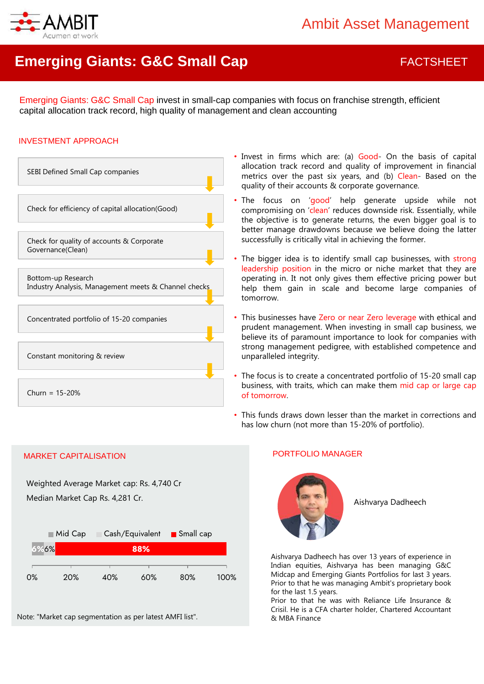

# **Emerging Giants: G&C Small Cap FACTSHEET**

Emerging Giants: G&C Small Cap invest in small-cap companies with focus on franchise strength, efficient capital allocation track record, high quality of management and clean accounting

#### INVESTMENT APPROACH



- Invest in firms which are: (a) Good- On the basis of capital allocation track record and quality of improvement in financial metrics over the past six years, and (b) Clean- Based on the quality of their accounts & corporate governance.
- The focus on 'good' help generate upside while not compromising on 'clean' reduces downside risk. Essentially, while the objective is to generate returns, the even bigger goal is to better manage drawdowns because we believe doing the latter successfully is critically vital in achieving the former.
- The bigger idea is to identify small cap businesses, with strong leadership position in the micro or niche market that they are operating in. It not only gives them effective pricing power but help them gain in scale and become large companies of tomorrow.
- This businesses have Zero or near Zero leverage with ethical and prudent management. When investing in small cap business, we believe its of paramount importance to look for companies with strong management pedigree, with established competence and unparalleled integrity.
- The focus is to create a concentrated portfolio of 15-20 small cap business, with traits, which can make them mid cap or large cap of tomorrow.
- This funds draws down lesser than the market in corrections and has low churn (not more than 15-20% of portfolio).

#### MARKET CAPITALISATION PORTFOLIO MANAGER

Weighted Average Market cap: Rs. 4,740 Cr Median Market Cap Rs. 4,281 Cr.





Aishvarya Dadheech

Aishvarya Dadheech has over 13 years of experience in Indian equities, Aishvarya has been managing G&C Midcap and Emerging Giants Portfolios for last 3 years. Prior to that he was managing Ambit's proprietary book for the last 1.5 years.

Prior to that he was with Reliance Life Insurance & Crisil. He is a CFA charter holder, Chartered Accountant & MBA Finance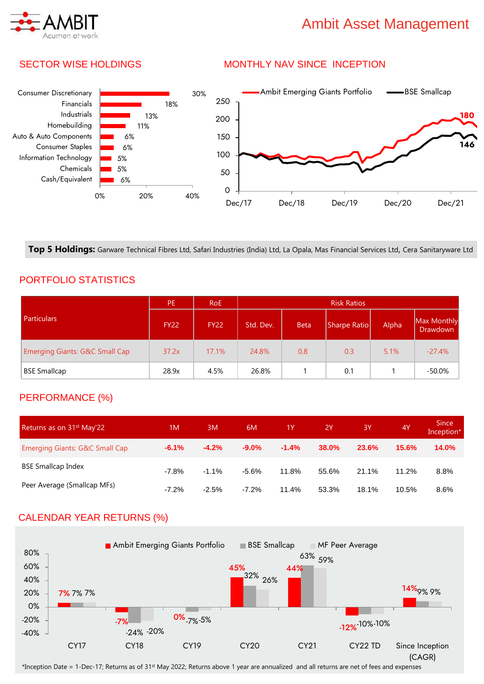# Ambit Asset Management

## SECTOR WISE HOLDINGS

## MONTHLY NAV SINCE INCEPTION



**Top 5 Holdings:** Garware Technical Fibres Ltd, Safari Industries (India) Ltd, La Opala, Mas Financial Services Ltd, Cera Sanitaryware Ltd

## PORTFOLIO STATISTICS

|                                           | PE.         | <b>RoE</b>  | <b>Risk Ratios</b> |             |              |       |                                |
|-------------------------------------------|-------------|-------------|--------------------|-------------|--------------|-------|--------------------------------|
| <b>Particulars</b>                        | <b>FY22</b> | <b>FY22</b> | Std. Dev.          | <b>Beta</b> | Sharpe Ratio | Alpha | Max Monthly<br><b>Drawdown</b> |
| <b>Emerging Giants: G&amp;C Small Cap</b> | 37.2x       | 17.1%       | 24.8%              | 0.8         | 0.3          | 5.1%  | $-27.4%$                       |
| <b>BSE Smallcap</b>                       | 28.9x       | 4.5%        | 26.8%              |             | 0.1          |       | -50.0%                         |

## PERFORMANCE (%)

| Returns as on 31 <sup>st</sup> May'22 | 1M      | 3M       | 6M      | 1Y      | <b>2Y</b> | 3Y    | 4Y    | <b>Since</b><br>Inception* |
|---------------------------------------|---------|----------|---------|---------|-----------|-------|-------|----------------------------|
| Emerging Giants: G&C Small Cap        | $-6.1%$ | $-4.2%$  | $-9.0%$ | $-1.4%$ | 38.0%     | 23.6% | 15.6% | <b>14.0%</b>               |
| <b>BSE Smallcap Index</b>             | $-7.8%$ | $-1.1\%$ | $-5.6%$ | 11.8%   | 55.6%     | 21.1% | 11.2% | 8.8%                       |
| Peer Average (Smallcap MFs)           | $-7.2%$ | $-2.5%$  | $-7.2%$ | 11.4%   | 53.3%     | 18.1% | 10.5% | 8.6%                       |

## CALENDAR YEAR RETURNS (%)



\*Inception Date = 1-Dec-17; Returns as of 31st May 2022; Returns above 1 year are annualized and all returns are net of fees and expenses